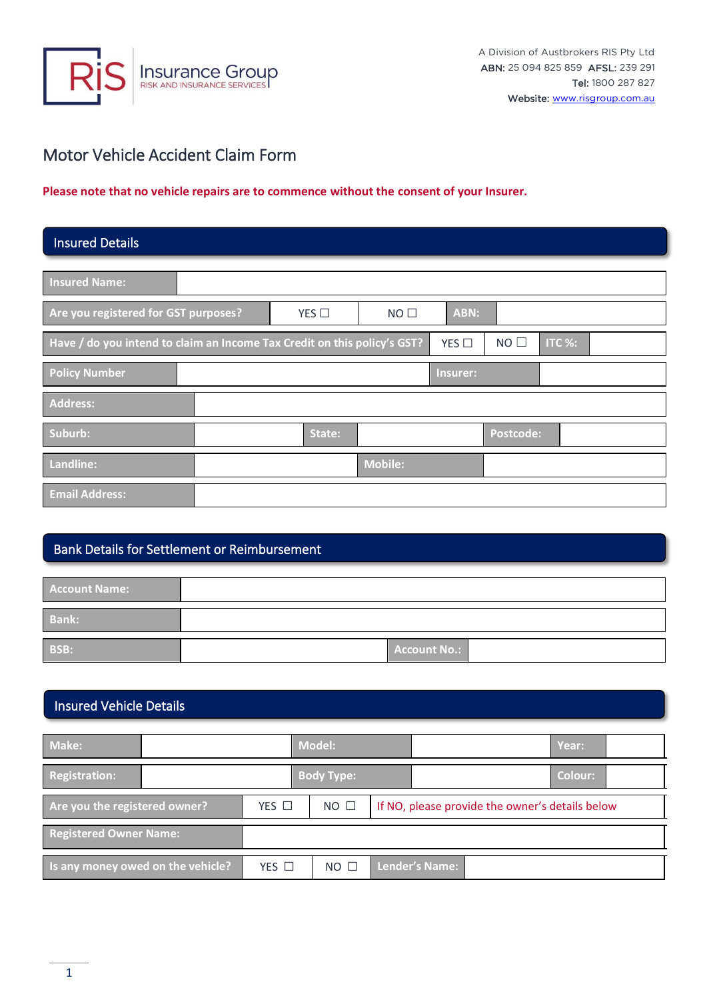

# Motor Vehicle Accident Claim Form

#### **Please note that no vehicle repairs are to commence without the consent of your Insurer.**

### Insured Details

| <b>Insured Name:</b>                                                     |        |                 |          |             |        |  |
|--------------------------------------------------------------------------|--------|-----------------|----------|-------------|--------|--|
| Are you registered for GST purposes?                                     | YES    | NO <sub>1</sub> | ABN:     |             |        |  |
| Have / do you intend to claim an Income Tax Credit on this policy's GST? |        |                 | YES      | $NO$ $\Box$ | ITC %: |  |
| <b>Policy Number</b>                                                     |        |                 | Insurer: |             |        |  |
| Address:                                                                 |        |                 |          |             |        |  |
| Suburb:                                                                  | State: |                 |          | Postcode:   |        |  |
| Landline:                                                                |        | Mobile:         |          |             |        |  |
| <b>Email Address:</b>                                                    |        |                 |          |             |        |  |

### Bank Details for Settlement or Reimbursement

| <b>Account Name:</b> |              |
|----------------------|--------------|
| <b>Bank:</b>         |              |
| BSB:                 | Account No.: |

#### Insured Vehicle Details

| Make:                             |                 | <b>Model:</b>     |                       |                                                 |  | Year:   |  |
|-----------------------------------|-----------------|-------------------|-----------------------|-------------------------------------------------|--|---------|--|
| Registration:                     |                 | <b>Body Type:</b> |                       |                                                 |  | Colour: |  |
| Are you the registered owner?     | $YES$ $\square$ | $NO$ $\square$    |                       | If NO, please provide the owner's details below |  |         |  |
| <b>Registered Owner Name:</b>     |                 |                   |                       |                                                 |  |         |  |
| Is any money owed on the vehicle? | YES $\Box$      | $NO$ $\Box$       | <b>Lender's Name:</b> |                                                 |  |         |  |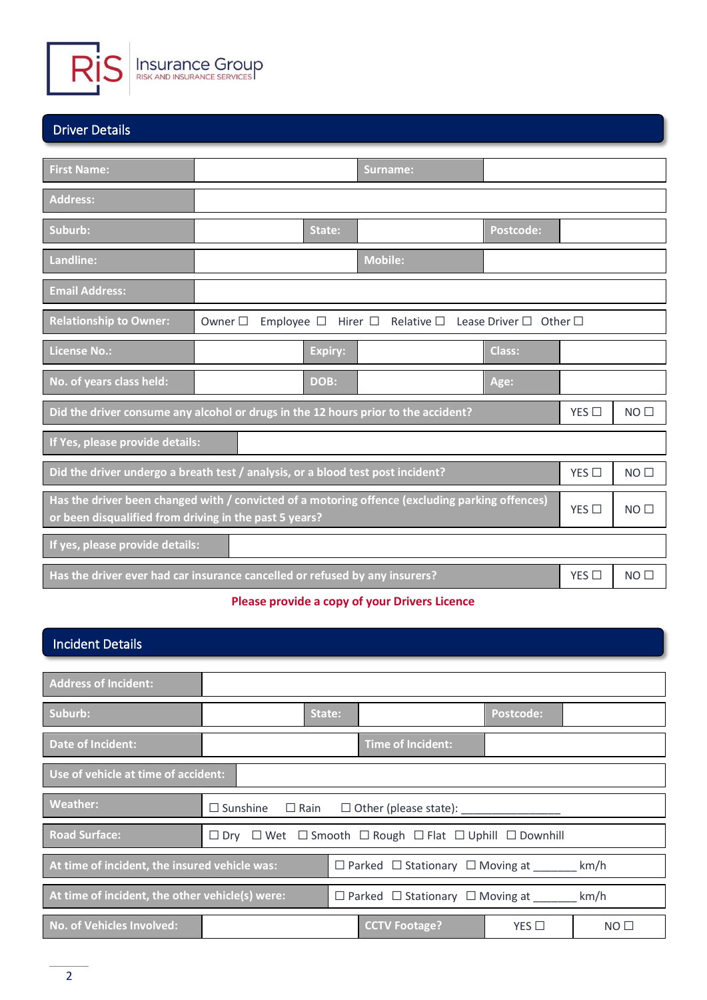

#### Driver Details

| <b>First Name:</b>                                                                                                                                        |                                                                                                       |                |  | Surname:                                              |                                        |     |                 |  |
|-----------------------------------------------------------------------------------------------------------------------------------------------------------|-------------------------------------------------------------------------------------------------------|----------------|--|-------------------------------------------------------|----------------------------------------|-----|-----------------|--|
| <b>Address:</b>                                                                                                                                           |                                                                                                       |                |  |                                                       |                                        |     |                 |  |
| Suburb:                                                                                                                                                   |                                                                                                       | State:         |  |                                                       | <b>Postcode:</b>                       |     |                 |  |
| Landline:                                                                                                                                                 |                                                                                                       |                |  | <b>Mobile:</b>                                        |                                        |     |                 |  |
| <b>Email Address:</b>                                                                                                                                     |                                                                                                       |                |  |                                                       |                                        |     |                 |  |
| <b>Relationship to Owner:</b>                                                                                                                             | Owner $\square$                                                                                       |                |  | Employee $\square$ Hirer $\square$ Relative $\square$ | Lease Driver $\square$<br>Other $\Box$ |     |                 |  |
| <b>License No.:</b>                                                                                                                                       |                                                                                                       | <b>Expiry:</b> |  |                                                       | <b>Class:</b>                          |     |                 |  |
| No. of years class held:                                                                                                                                  |                                                                                                       | DOB:           |  |                                                       | Age:                                   |     |                 |  |
| Did the driver consume any alcohol or drugs in the 12 hours prior to the accident?                                                                        |                                                                                                       |                |  |                                                       |                                        | YES | NO <sub>1</sub> |  |
| If Yes, please provide details:                                                                                                                           |                                                                                                       |                |  |                                                       |                                        |     |                 |  |
| Did the driver undergo a breath test / analysis, or a blood test post incident?                                                                           |                                                                                                       |                |  |                                                       |                                        | YES | NO <sub>1</sub> |  |
| Has the driver been changed with / convicted of a motoring offence (excluding parking offences)<br>or been disqualified from driving in the past 5 years? |                                                                                                       |                |  |                                                       |                                        | YES | NO <sub>1</sub> |  |
| If yes, please provide details:                                                                                                                           |                                                                                                       |                |  |                                                       |                                        |     |                 |  |
|                                                                                                                                                           | Has the driver ever had car insurance cancelled or refused by any insurers?<br>YES<br>NO <sub>1</sub> |                |  |                                                       |                                        |     |                 |  |

#### **Please provide a copy of your Drivers Licence**

# **Address of Incident: Suburb: Postcode: Postcode: Postcode: Postcode: Postcode: Postcode: Postcode: Postcode: Postcode: Postcode: Postcode: Postcode: Postcode: Postcode: Postcode: Postcode: Postcode: Postcod Date of Incident: Time of Incident: Use of vehicle at time of accident: Weather:** ☐ Sunshine ☐ Rain ☐ Other (please state): \_\_\_\_\_\_\_\_\_\_\_\_\_\_\_\_ Road Surface: **□ □ Dry □ Wet □** Smooth □ Rough □ Flat □ Uphill □ Downhill At time of incident, the insured vehicle was: **□ Dearked □ Stationary □ Moving at** km/h At time of incident, the other vehicle(s) were: **□ Dearked □ Stationary □ Moving at** km/h **No. of Vehicles Involved: No. of Vehicles Involved: CCTV Footage?** YES □ NO □ Incident Details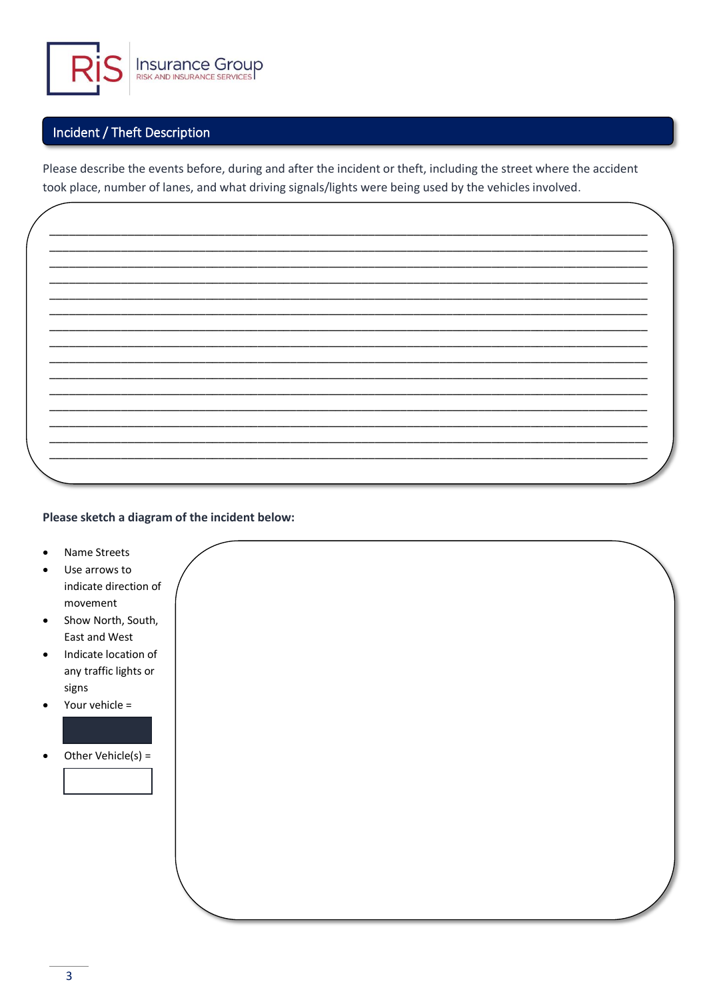

### Incident / Theft Description

Please describe the events before, during and after the incident or theft, including the street where the accident took place, number of lanes, and what driving signals/lights were being used by the vehicles involved.

Please sketch a diagram of the incident below:

- Name Streets
- Use arrows to indicate direction of movement
- Show North, South,  $\bullet$ East and West
- Indicate location of any traffic lights or signs
- Your vehicle =
- Other Vehicle(s) =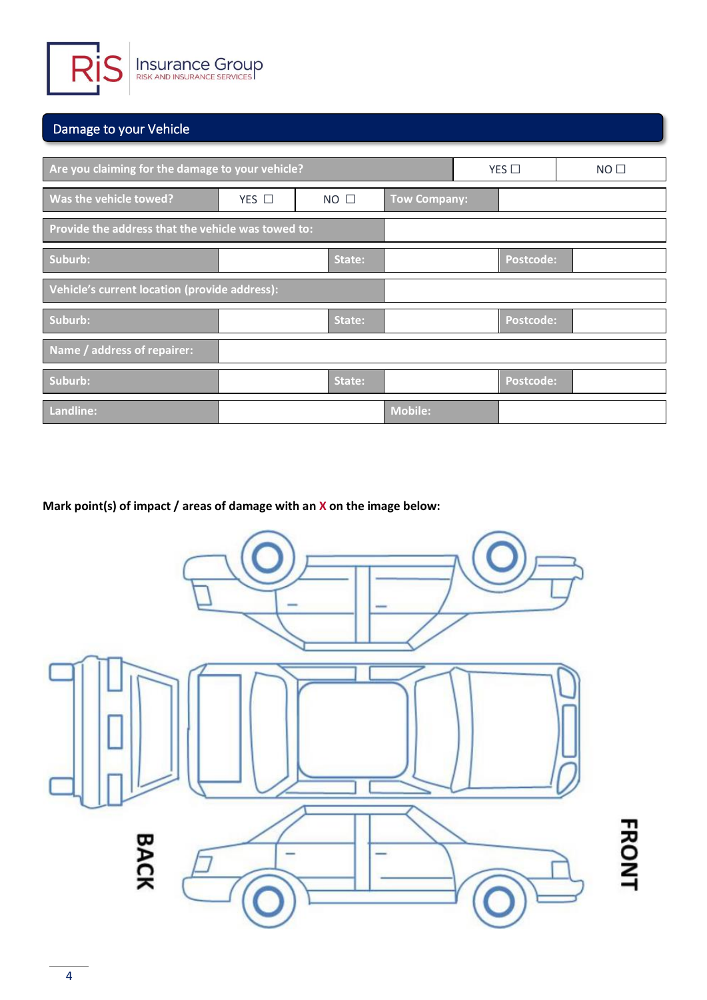

# Damage to your Vehicle

| Are you claiming for the damage to your vehicle?   |                 | YES         | $NO$ $\square$      |                  |  |
|----------------------------------------------------|-----------------|-------------|---------------------|------------------|--|
| Was the vehicle towed?                             | $YES$ $\square$ | $NO$ $\Box$ | <b>Tow Company:</b> |                  |  |
| Provide the address that the vehicle was towed to: |                 |             |                     |                  |  |
| Suburb:                                            |                 | State:      |                     | <b>Postcode:</b> |  |
| Vehicle's current location (provide address):      |                 |             |                     |                  |  |
| Suburb:                                            |                 | State:      |                     | Postcode:        |  |
| Name / address of repairer:                        |                 |             |                     |                  |  |
| Suburb:                                            |                 | State:      |                     | Postcode:        |  |
| Landline:                                          |                 |             | <b>Mobile:</b>      |                  |  |

**Mark point(s) of impact / areas of damage with an X on the image below:**

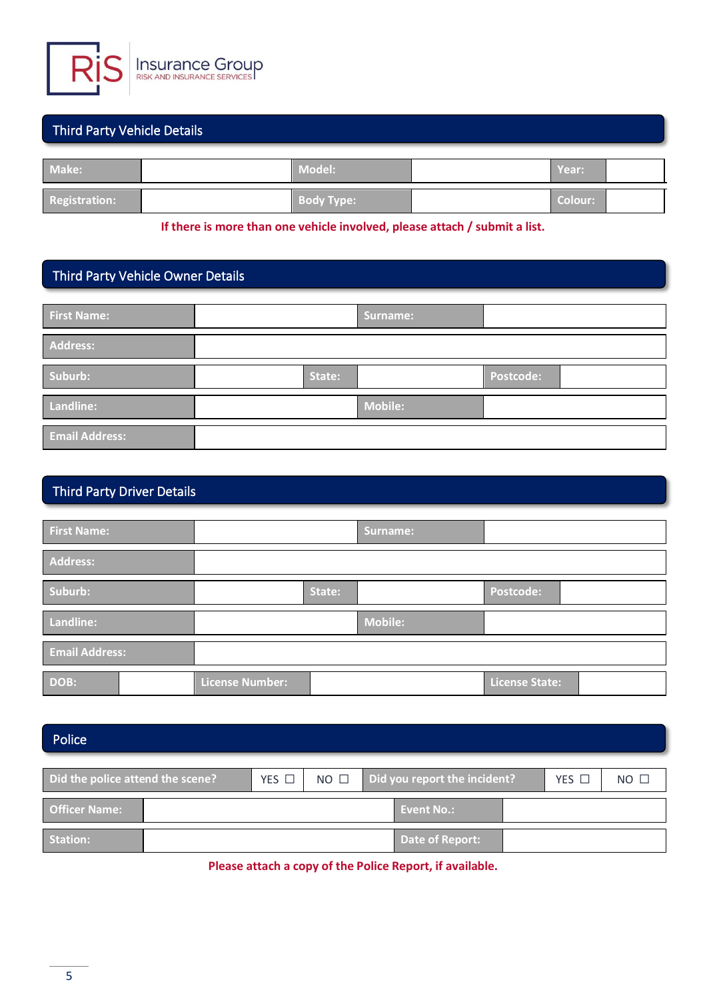

### Third Party Vehicle Details

| Make:                | <b>Model:</b>     | Year:     |  |
|----------------------|-------------------|-----------|--|
| <b>Registration:</b> | <b>Body Type:</b> | Colour: \ |  |

**If there is more than one vehicle involved, please attach / submit a list.**

# Third Party Vehicle Owner Details

| <b>First Name:</b>    |        | Surname:       |                  |  |
|-----------------------|--------|----------------|------------------|--|
| Address:              |        |                |                  |  |
| Suburb:               | State: |                | <b>Postcode:</b> |  |
| Landline:             |        | <b>Mobile:</b> |                  |  |
| <b>Email Address:</b> |        |                |                  |  |

# Third Party Driver Details

| First Name:           |                        |        | Surname:       |                       |  |
|-----------------------|------------------------|--------|----------------|-----------------------|--|
| Address:              |                        |        |                |                       |  |
| Suburb:               |                        | State: |                | Postcode:             |  |
| Landline:             |                        |        | <b>Mobile:</b> |                       |  |
| <b>Email Address:</b> |                        |        |                |                       |  |
| DOB:                  | <b>License Number:</b> |        |                | <b>License State:</b> |  |

#### Police

| Did the police attend the scene? |  | YES $\Box$ | $NO$ $\square$ | Did you report the incident? |                   | YES L | $NO$ $\square$ |
|----------------------------------|--|------------|----------------|------------------------------|-------------------|-------|----------------|
| <b>Officer Name:</b>             |  |            |                |                              | <b>Event No.:</b> |       |                |
| Station:                         |  |            |                |                              | Date of Report:   |       |                |

**Please attach a copy of the Police Report, if available.**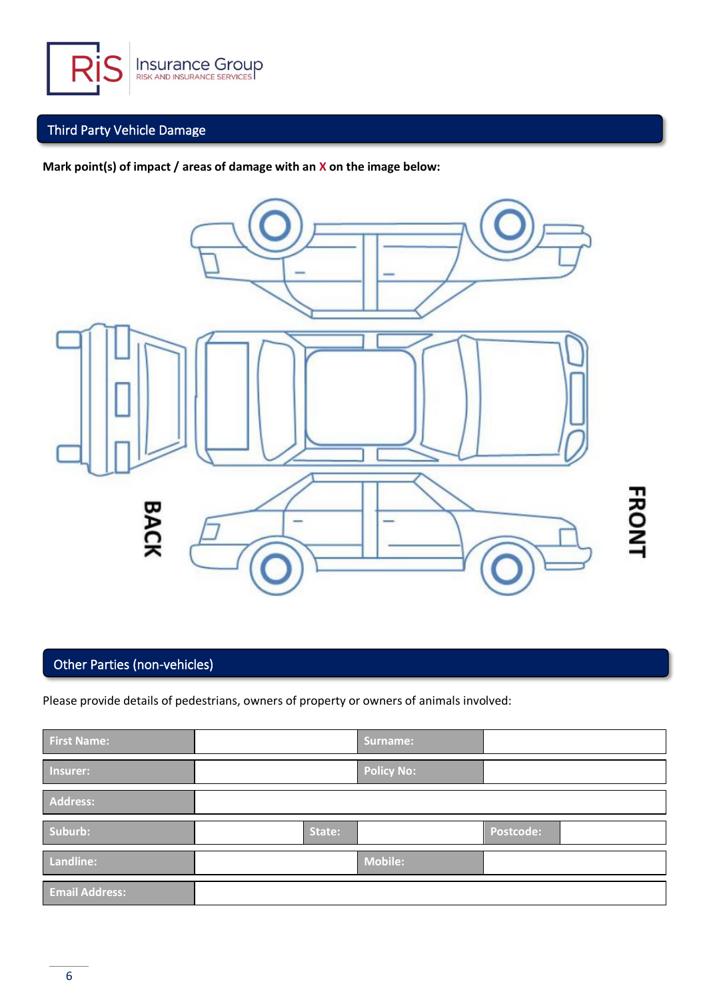

# Third Party Vehicle Damage

**Mark point(s) of impact / areas of damage with an X on the image below:**



# Other Parties (non-vehicles)

Please provide details of pedestrians, owners of property or owners of animals involved:

| <b>First Name:</b>    |        | Surname:          |           |  |
|-----------------------|--------|-------------------|-----------|--|
| Insurer:              |        | <b>Policy No:</b> |           |  |
| Address:              |        |                   |           |  |
| Suburb:               | State: |                   | Postcode: |  |
| Landline:             |        | <b>Mobile:</b>    |           |  |
| <b>Email Address:</b> |        |                   |           |  |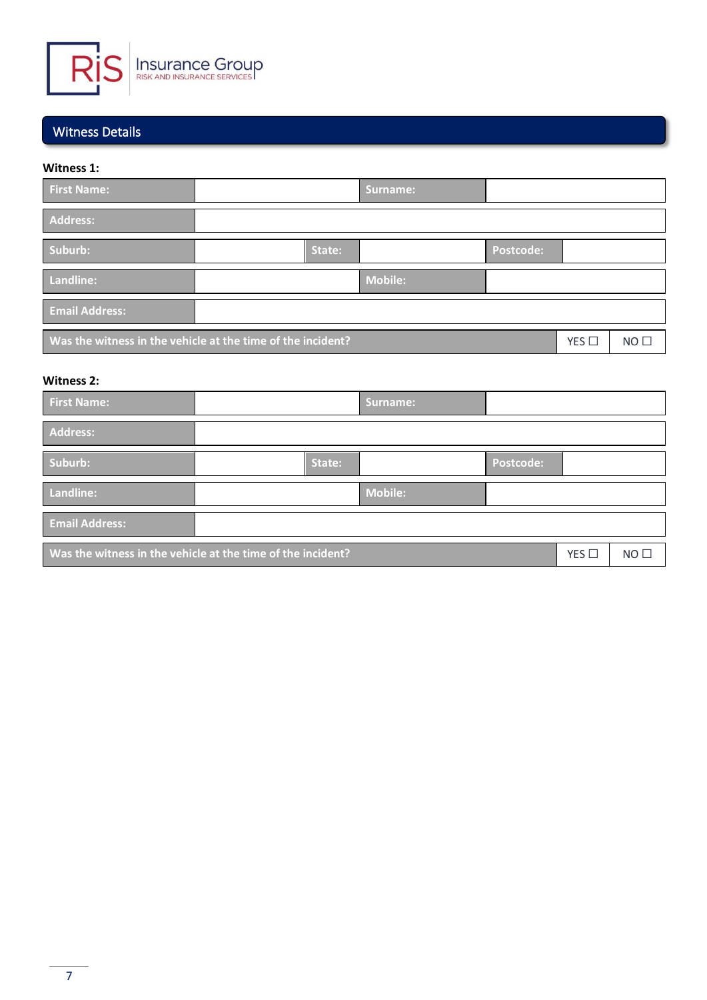

### Witness Details

#### **Witness 1:**

| <b>First Name:</b>                                                                               |        | Surname:       |           |  |  |  |
|--------------------------------------------------------------------------------------------------|--------|----------------|-----------|--|--|--|
| Address:                                                                                         |        |                |           |  |  |  |
| Suburb:                                                                                          | State: |                | Postcode: |  |  |  |
| Landline:                                                                                        |        | <b>Mobile:</b> |           |  |  |  |
| <b>Email Address:</b>                                                                            |        |                |           |  |  |  |
| Was the witness in the vehicle at the time of the incident?<br>$NO$ $\square$<br>$YES$ $\square$ |        |                |           |  |  |  |

#### **Witness 2:**

| <b>First Name:</b>                                          |        | <b>Surname:</b> |                  |     |                 |
|-------------------------------------------------------------|--------|-----------------|------------------|-----|-----------------|
| Address:                                                    |        |                 |                  |     |                 |
| Suburb:                                                     | State: |                 | <b>Postcode:</b> |     |                 |
| Landline:                                                   |        | <b>Mobile:</b>  |                  |     |                 |
| <b>Email Address:</b>                                       |        |                 |                  |     |                 |
| Was the witness in the vehicle at the time of the incident? |        |                 |                  | YES | NO <sub>1</sub> |